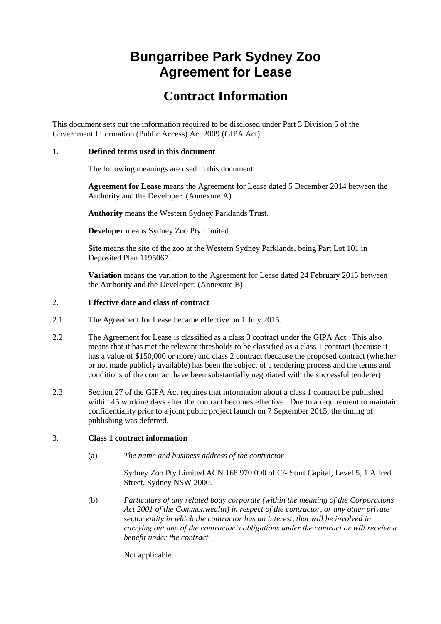# **Bungarribee Park Sydney Zoo Agreement for Lease**

## **Contract Information**

This document sets out the information required to be disclosed under Part 3 Division 5 of the Government Information (Public Access) Act 2009 (GIPA Act).

#### 1. **Defined terms used in this document**

The following meanings are used in this document:

**Agreement for Lease** means the Agreement for Lease dated 5 December 2014 between the Authority and the Developer. (Annexure A)

**Authority** means the Western Sydney Parklands Trust.

**Developer** means Sydney Zoo Pty Limited.

**Site** means the site of the zoo at the Western Sydney Parklands, being Part Lot 101 in Deposited Plan 1195067.

**Variation** means the variation to the Agreement for Lease dated 24 February 2015 between the Authority and the Developer. (Annexure B)

#### 2. **Effective date and class of contract**

- 2.1 The Agreement for Lease became effective on 1 July 2015.
- 2.2 The Agreement for Lease is classified as a class 3 contract under the GIPA Act. This also means that it has met the relevant thresholds to be classified as a class 1 contract (because it has a value of \$150,000 or more) and class 2 contract (because the proposed contract (whether or not made publicly available) has been the subject of a tendering process and the terms and conditions of the contract have been substantially negotiated with the successful tenderer).
- 2.3 Section 27 of the GIPA Act requires that information about a class 1 contract be published within 45 working days after the contract becomes effective. Due to a requirement to maintain confidentiality prior to a joint public project launch on 7 September 2015, the timing of publishing was deferred.

#### 3. **Class 1 contract information**

(a) *The name and business address of the contractor*

Sydney Zoo Pty Limited ACN 168 970 090 of C/- Sturt Capital, Level 5, 1 Alfred Street, Sydney NSW 2000.

(b) *Particulars of any related body corporate (within the meaning of the Corporations Act 2001 of the Commonwealth) in respect of the contractor, or any other private sector entity in which the contractor has an interest, that will be involved in carrying out any of the contractor's obligations under the contract or will receive a benefit under the contract*

Not applicable.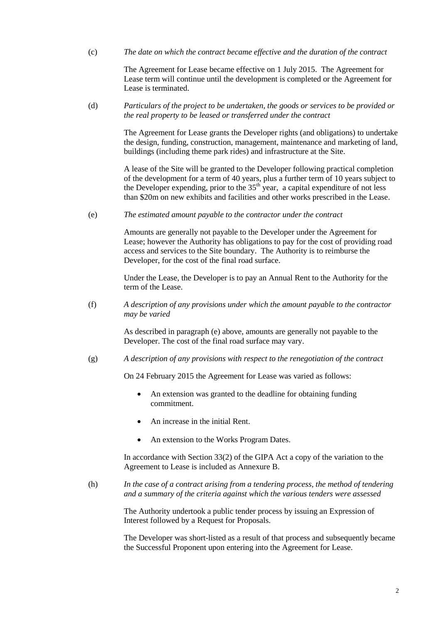(c) *The date on which the contract became effective and the duration of the contract*

The Agreement for Lease became effective on 1 July 2015. The Agreement for Lease term will continue until the development is completed or the Agreement for Lease is terminated.

(d) *Particulars of the project to be undertaken, the goods or services to be provided or the real property to be leased or transferred under the contract*

> The Agreement for Lease grants the Developer rights (and obligations) to undertake the design, funding, construction, management, maintenance and marketing of land, buildings (including theme park rides) and infrastructure at the Site.

> A lease of the Site will be granted to the Developer following practical completion of the development for a term of 40 years, plus a further term of 10 years subject to the Developer expending, prior to the  $35<sup>th</sup>$  year, a capital expenditure of not less than \$20m on new exhibits and facilities and other works prescribed in the Lease.

(e) *The estimated amount payable to the contractor under the contract*

Amounts are generally not payable to the Developer under the Agreement for Lease; however the Authority has obligations to pay for the cost of providing road access and services to the Site boundary. The Authority is to reimburse the Developer, for the cost of the final road surface.

Under the Lease, the Developer is to pay an Annual Rent to the Authority for the term of the Lease.

(f) *A description of any provisions under which the amount payable to the contractor may be varied*

> As described in paragraph (e) above, amounts are generally not payable to the Developer. The cost of the final road surface may vary.

(g) *A description of any provisions with respect to the renegotiation of the contract*

On 24 February 2015 the Agreement for Lease was varied as follows:

- An extension was granted to the deadline for obtaining funding commitment.
- An increase in the initial Rent.
- An extension to the Works Program Dates.

In accordance with Section 33(2) of the GIPA Act a copy of the variation to the Agreement to Lease is included as Annexure B.

(h) *In the case of a contract arising from a tendering process, the method of tendering and a summary of the criteria against which the various tenders were assessed*

> The Authority undertook a public tender process by issuing an Expression of Interest followed by a Request for Proposals.

The Developer was short-listed as a result of that process and subsequently became the Successful Proponent upon entering into the Agreement for Lease.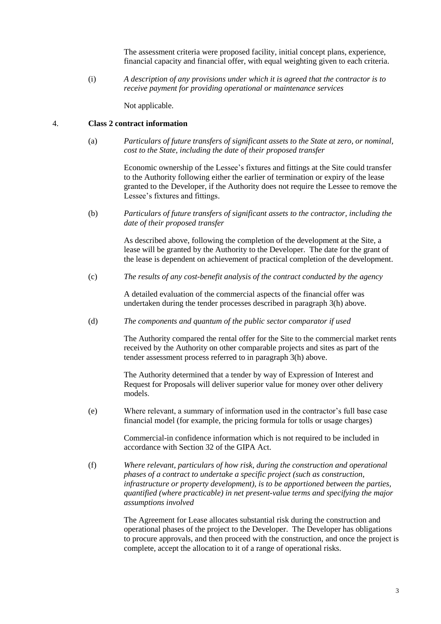The assessment criteria were proposed facility, initial concept plans, experience, financial capacity and financial offer, with equal weighting given to each criteria.

(i) *A description of any provisions under which it is agreed that the contractor is to receive payment for providing operational or maintenance services*

Not applicable.

#### 4. **Class 2 contract information**

(a) *Particulars of future transfers of significant assets to the State at zero, or nominal, cost to the State, including the date of their proposed transfer*

> Economic ownership of the Lessee's fixtures and fittings at the Site could transfer to the Authority following either the earlier of termination or expiry of the lease granted to the Developer, if the Authority does not require the Lessee to remove the Lessee's fixtures and fittings.

(b) *Particulars of future transfers of significant assets to the contractor, including the date of their proposed transfer*

> As described above, following the completion of the development at the Site, a lease will be granted by the Authority to the Developer. The date for the grant of the lease is dependent on achievement of practical completion of the development.

(c) *The results of any cost-benefit analysis of the contract conducted by the agency*

A detailed evaluation of the commercial aspects of the financial offer was undertaken during the tender processes described in paragraph 3(h) above.

(d) *The components and quantum of the public sector comparator if used*

The Authority compared the rental offer for the Site to the commercial market rents received by the Authority on other comparable projects and sites as part of the tender assessment process referred to in paragraph 3(h) above.

The Authority determined that a tender by way of Expression of Interest and Request for Proposals will deliver superior value for money over other delivery models.

(e) Where relevant, a summary of information used in the contractor's full base case financial model (for example, the pricing formula for tolls or usage charges)

> Commercial-in confidence information which is not required to be included in accordance with Section 32 of the GIPA Act.

(f) *Where relevant, particulars of how risk, during the construction and operational phases of a contract to undertake a specific project (such as construction, infrastructure or property development), is to be apportioned between the parties, quantified (where practicable) in net present-value terms and specifying the major assumptions involved*

> The Agreement for Lease allocates substantial risk during the construction and operational phases of the project to the Developer. The Developer has obligations to procure approvals, and then proceed with the construction, and once the project is complete, accept the allocation to it of a range of operational risks.